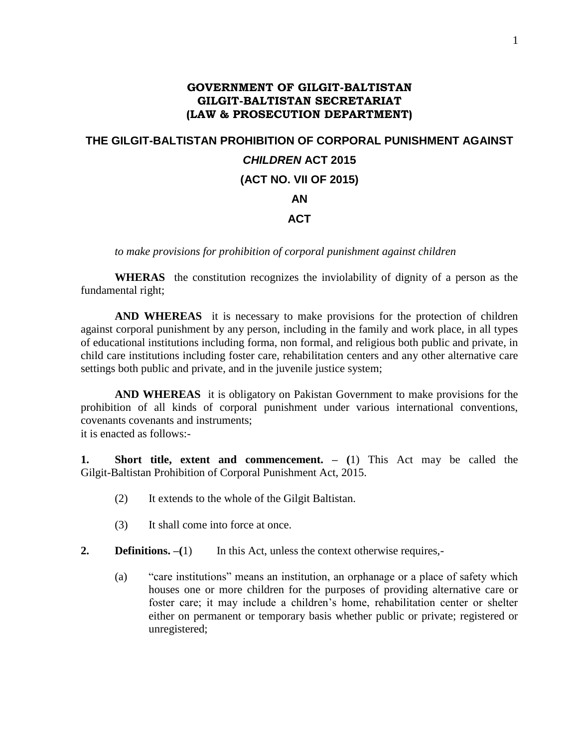## **GOVERNMENT OF GILGIT-BALTISTAN GILGIT-BALTISTAN SECRETARIAT (LAW & PROSECUTION DEPARTMENT)**

## **THE GILGIT-BALTISTAN PROHIBITION OF CORPORAL PUNISHMENT AGAINST**  *CHILDREN* **ACT 2015 (ACT NO. VII OF 2015) AN ACT**

*to make provisions for prohibition of corporal punishment against children*

**WHERAS** the constitution recognizes the inviolability of dignity of a person as the fundamental right;

**AND WHEREAS** it is necessary to make provisions for the protection of children against corporal punishment by any person, including in the family and work place, in all types of educational institutions including forma, non formal, and religious both public and private, in child care institutions including foster care, rehabilitation centers and any other alternative care settings both public and private, and in the juvenile justice system;

**AND WHEREAS** it is obligatory on Pakistan Government to make provisions for the prohibition of all kinds of corporal punishment under various international conventions, covenants covenants and instruments; it is enacted as follows:-

**1. Short title, extent and commencement. – (**1) This Act may be called the Gilgit-Baltistan Prohibition of Corporal Punishment Act, 2015.

- (2) It extends to the whole of the Gilgit Baltistan.
- (3) It shall come into force at once.
- **2. Definitions.** –(1) In this Act, unless the context otherwise requires,-
	- (a) "care institutions" means an institution, an orphanage or a place of safety which houses one or more children for the purposes of providing alternative care or foster care; it may include a children's home, rehabilitation center or shelter either on permanent or temporary basis whether public or private; registered or unregistered;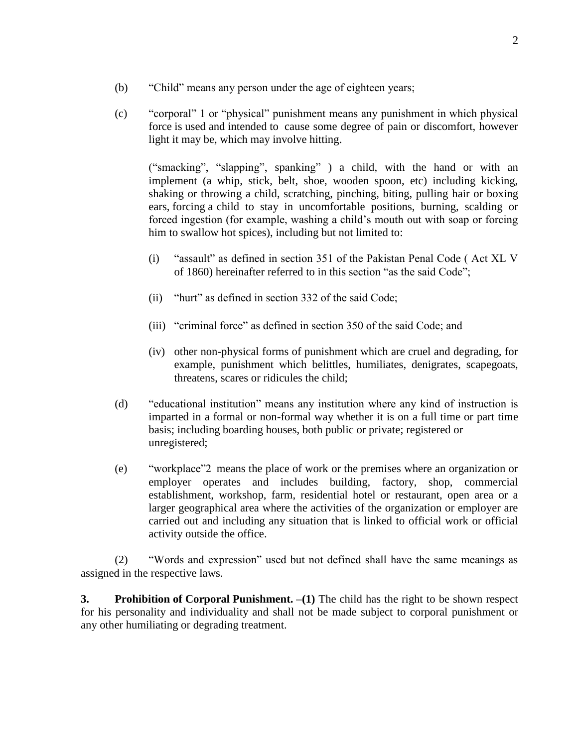- (b) "Child" means any person under the age of eighteen years;
- (c) "corporal" 1 or "physical" punishment means any punishment in which physical force is used and intended to cause some degree of pain or discomfort, however light it may be, which may involve hitting.

("smacking", "slapping", spanking" ) a child, with the hand or with an implement (a whip, stick, belt, shoe, wooden spoon, etc) including kicking, shaking or throwing a child, scratching, pinching, biting, pulling hair or boxing ears, forcing a child to stay in uncomfortable positions, burning, scalding or forced ingestion (for example, washing a child's mouth out with soap or forcing him to swallow hot spices), including but not limited to:

- (i) "assault" as defined in section 351 of the Pakistan Penal Code ( Act XL V of 1860) hereinafter referred to in this section "as the said Code";
- (ii) "hurt" as defined in section 332 of the said Code;
- (iii) "criminal force" as defined in section 350 of the said Code; and
- (iv) other non-physical forms of punishment which are cruel and degrading, for example, punishment which belittles, humiliates, denigrates, scapegoats, threatens, scares or ridicules the child;
- (d) "educational institution" means any institution where any kind of instruction is imparted in a formal or non-formal way whether it is on a full time or part time basis; including boarding houses, both public or private; registered or unregistered;
- (e) "workplace"2 means the place of work or the premises where an organization or employer operates and includes building, factory, shop, commercial establishment, workshop, farm, residential hotel or restaurant, open area or a larger geographical area where the activities of the organization or employer are carried out and including any situation that is linked to official work or official activity outside the office.

(2) "Words and expression" used but not defined shall have the same meanings as assigned in the respective laws.

**3. Prohibition of Corporal Punishment. –(1)** The child has the right to be shown respect for his personality and individuality and shall not be made subject to corporal punishment or any other humiliating or degrading treatment.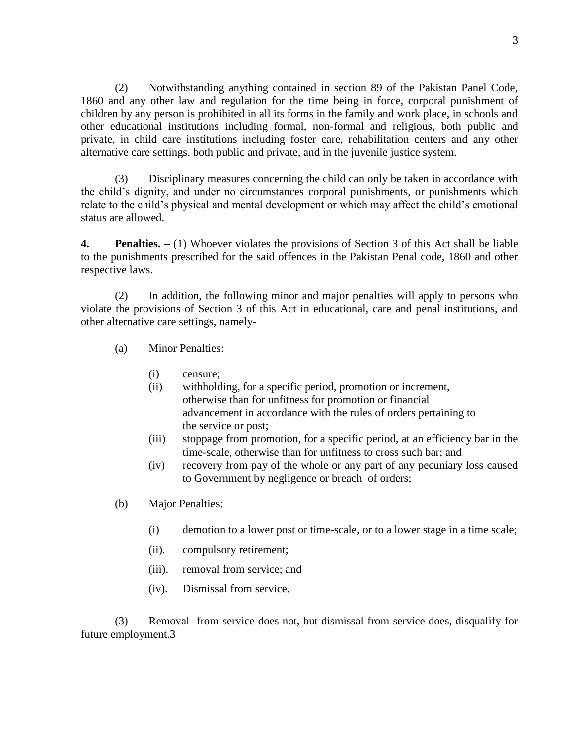(2) Notwithstanding anything contained in section 89 of the Pakistan Panel Code, 1860 and any other law and regulation for the time being in force, corporal punishment of children by any person is prohibited in all its forms in the family and work place, in schools and other educational institutions including formal, non-formal and religious, both public and private, in child care institutions including foster care, rehabilitation centers and any other alternative care settings, both public and private, and in the juvenile justice system.

(3) Disciplinary measures concerning the child can only be taken in accordance with the child's dignity, and under no circumstances corporal punishments, or punishments which relate to the child's physical and mental development or which may affect the child's emotional status are allowed.

**4. Penalties. –** (1) Whoever violates the provisions of Section 3 of this Act shall be liable to the punishments prescribed for the said offences in the Pakistan Penal code, 1860 and other respective laws.

(2) In addition, the following minor and major penalties will apply to persons who violate the provisions of Section 3 of this Act in educational, care and penal institutions, and other alternative care settings, namely-

- (a) Minor Penalties:
	- (i) censure;
	- (ii) withholding, for a specific period, promotion or increment, otherwise than for unfitness for promotion or financial advancement in accordance with the rules of orders pertaining to the service or post;
	- (iii) stoppage from promotion, for a specific period, at an efficiency bar in the time-scale, otherwise than for unfitness to cross such bar; and
	- (iv) recovery from pay of the whole or any part of any pecuniary loss caused to Government by negligence or breach of orders;
- (b) Major Penalties:
	- (i) demotion to a lower post or time-scale, or to a lower stage in a time scale;
	- (ii). compulsory retirement;
	- (iii). removal from service; and
	- (iv). Dismissal from service.

(3) Removal from service does not, but dismissal from service does, disqualify for future employment.3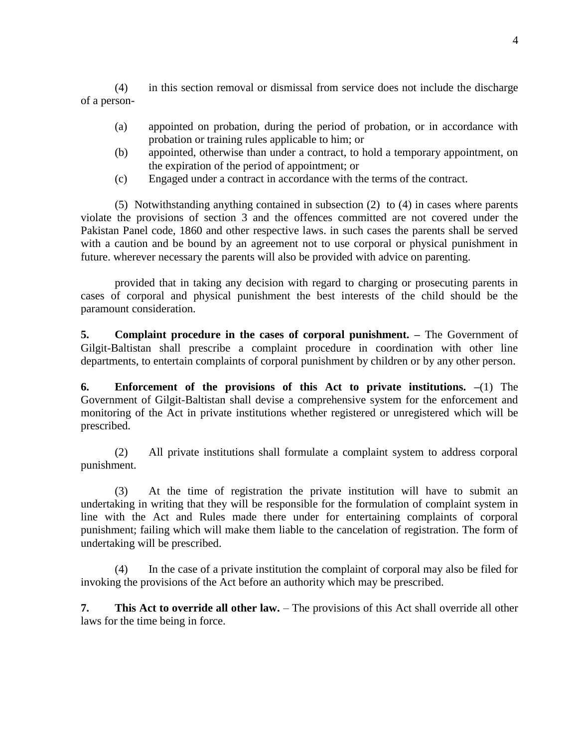(4) in this section removal or dismissal from service does not include the discharge of a person-

- (a) appointed on probation, during the period of probation, or in accordance with probation or training rules applicable to him; or
- (b) appointed, otherwise than under a contract, to hold a temporary appointment, on the expiration of the period of appointment; or
- (c) Engaged under a contract in accordance with the terms of the contract.

(5) Notwithstanding anything contained in subsection (2) to (4) in cases where parents violate the provisions of section 3 and the offences committed are not covered under the Pakistan Panel code, 1860 and other respective laws. in such cases the parents shall be served with a caution and be bound by an agreement not to use corporal or physical punishment in future. wherever necessary the parents will also be provided with advice on parenting.

provided that in taking any decision with regard to charging or prosecuting parents in cases of corporal and physical punishment the best interests of the child should be the paramount consideration.

**5. Complaint procedure in the cases of corporal punishment. –** The Government of Gilgit-Baltistan shall prescribe a complaint procedure in coordination with other line departments, to entertain complaints of corporal punishment by children or by any other person.

**6. Enforcement of the provisions of this Act to private institutions. –**(1) The Government of Gilgit-Baltistan shall devise a comprehensive system for the enforcement and monitoring of the Act in private institutions whether registered or unregistered which will be prescribed.

(2) All private institutions shall formulate a complaint system to address corporal punishment.

(3) At the time of registration the private institution will have to submit an undertaking in writing that they will be responsible for the formulation of complaint system in line with the Act and Rules made there under for entertaining complaints of corporal punishment; failing which will make them liable to the cancelation of registration. The form of undertaking will be prescribed.

(4) In the case of a private institution the complaint of corporal may also be filed for invoking the provisions of the Act before an authority which may be prescribed.

**7. This Act to override all other law.** – The provisions of this Act shall override all other laws for the time being in force.